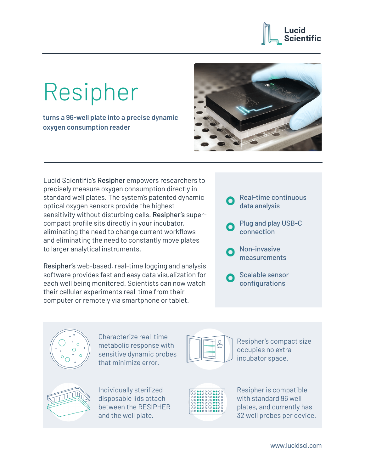## ucid **Scientific**

## Resipher

**turns a 96-well plate into a precise dynamic oxygen consumption reader**



Lucid Scientific's Resipher empowers researchers to precisely measure oxygen consumption directly in standard well plates. The system's patented dynamic optical oxygen sensors provide the highest sensitivity without disturbing cells. Resipher's supercompact profile sits directly in your incubator, eliminating the need to change current workflows and eliminating the need to constantly move plates to larger analytical instruments.

Resipher's web-based, real-time logging and analysis software provides fast and easy data visualization for each well being monitored. Scientists can now watch their cellular experiments real-time from their computer or remotely via smartphone or tablet.

- Real-time continuous data analysis
- Plug and play USB-C connection
- Non-invasive measurements
- Scalable sensor configurations



Characterize real-time metabolic response with sensitive dynamic probes that minimize error.



Individually sterilized disposable lids attach between the RESIPHER and the well plate.



Resipher's compact size occupies no extra incubator space.

| 000000000000      |  |
|-------------------|--|
| $0.0000000000000$ |  |
| 000000000000      |  |
| $0.000000000000$  |  |
| 000000000000      |  |
| 000000000000      |  |
| 000000000000      |  |
| 000000000000      |  |
|                   |  |
|                   |  |

Resipher is compatible with standard 96 well plates, and currently has 32 well probes per device.